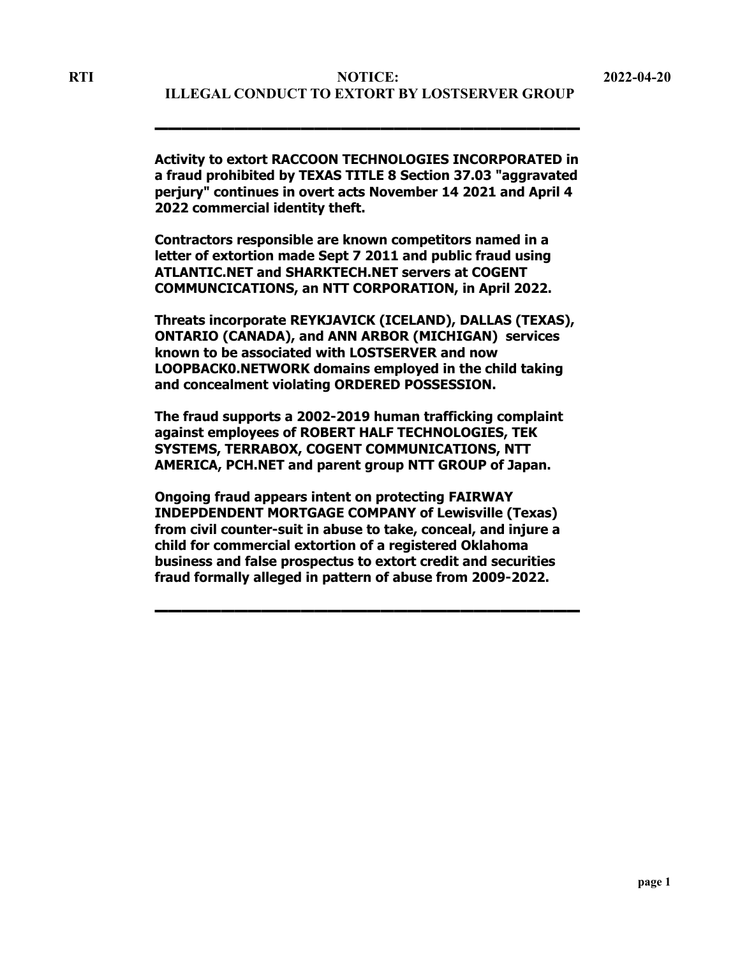▬▬▬▬▬▬▬▬▬▬▬▬▬▬▬▬▬▬▬▬▬▬▬▬▬▬▬▬▬▬▬▬

**Activity to extort RACCOON TECHNOLOGIES INCORPORATED in a fraud prohibited by TEXAS TITLE 8 Section 37.03 "aggravated perjury" continues in overt acts November 14 2021 and April 4 2022 commercial identity theft.**

**Contractors responsible are known competitors named in a letter of extortion made Sept 7 2011 and public fraud using ATLANTIC.NET and SHARKTECH.NET servers at COGENT COMMUNCICATIONS, an NTT CORPORATION, in April 2022.**

**Threats incorporate REYKJAVICK (ICELAND), DALLAS (TEXAS), ONTARIO (CANADA), and ANN ARBOR (MICHIGAN) services known to be associated with LOSTSERVER and now LOOPBACK0.NETWORK domains employed in the child taking and concealment violating ORDERED POSSESSION.**

**The fraud supports a 2002-2019 human trafficking complaint against employees of ROBERT HALF TECHNOLOGIES, TEK SYSTEMS, TERRABOX, COGENT COMMUNICATIONS, NTT AMERICA, PCH.NET and parent group NTT GROUP of Japan.**

**Ongoing fraud appears intent on protecting FAIRWAY INDEPDENDENT MORTGAGE COMPANY of Lewisville (Texas) from civil counter-suit in abuse to take, conceal, and injure a child for commercial extortion of a registered Oklahoma business and false prospectus to extort credit and securities fraud formally alleged in pattern of abuse from 2009-2022.**

▬▬▬▬▬▬▬▬▬▬▬▬▬▬▬▬▬▬▬▬▬▬▬▬▬▬▬▬▬▬▬▬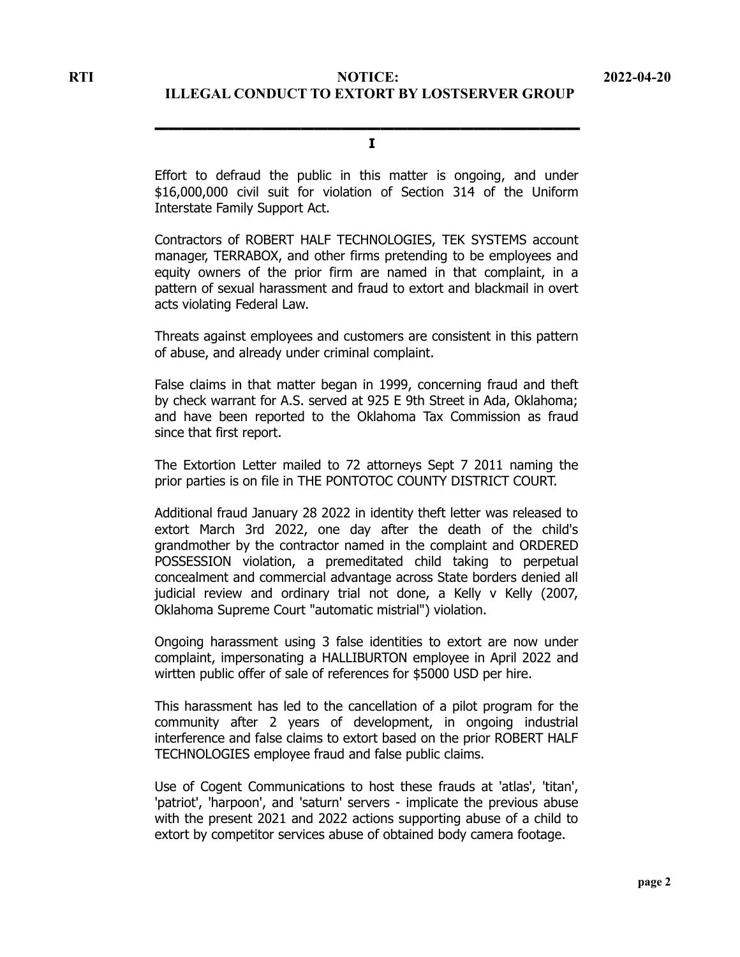### ▬▬▬▬▬▬▬▬▬▬▬▬▬▬▬▬▬▬▬▬▬▬▬▬▬▬▬▬▬▬▬▬ **I**

Effort to defraud the public in this matter is ongoing, and under \$16,000,000 civil suit for violation of Section 314 of the Uniform Interstate Family Support Act.

Contractors of ROBERT HALF TECHNOLOGIES, TEK SYSTEMS account manager, TERRABOX, and other firms pretending to be employees and equity owners of the prior firm are named in that complaint, in a pattern of sexual harassment and fraud to extort and blackmail in overt acts violating Federal Law.

Threats against employees and customers are consistent in this pattern of abuse, and already under criminal complaint.

False claims in that matter began in 1999, concerning fraud and theft by check warrant for A.S. served at 925 E 9th Street in Ada, Oklahoma; and have been reported to the Oklahoma Tax Commission as fraud since that first report.

The Extortion Letter mailed to 72 attorneys Sept 7 2011 naming the prior parties is on file in THE PONTOTOC COUNTY DISTRICT COURT.

Additional fraud January 28 2022 in identity theft letter was released to extort March 3rd 2022, one day after the death of the child's grandmother by the contractor named in the complaint and ORDERED POSSESSION violation, a premeditated child taking to perpetual concealment and commercial advantage across State borders denied all judicial review and ordinary trial not done, a Kelly v Kelly (2007, Oklahoma Supreme Court "automatic mistrial") violation.

Ongoing harassment using 3 false identities to extort are now under complaint, impersonating a HALLIBURTON employee in April 2022 and wirtten public offer of sale of references for \$5000 USD per hire.

This harassment has led to the cancellation of a pilot program for the community after 2 years of development, in ongoing industrial interference and false claims to extort based on the prior ROBERT HALF TECHNOLOGIES employee fraud and false public claims.

Use of Cogent Communications to host these frauds at 'atlas', 'titan', 'patriot', 'harpoon', and 'saturn' servers - implicate the previous abuse with the present 2021 and 2022 actions supporting abuse of a child to extort by competitor services abuse of obtained body camera footage.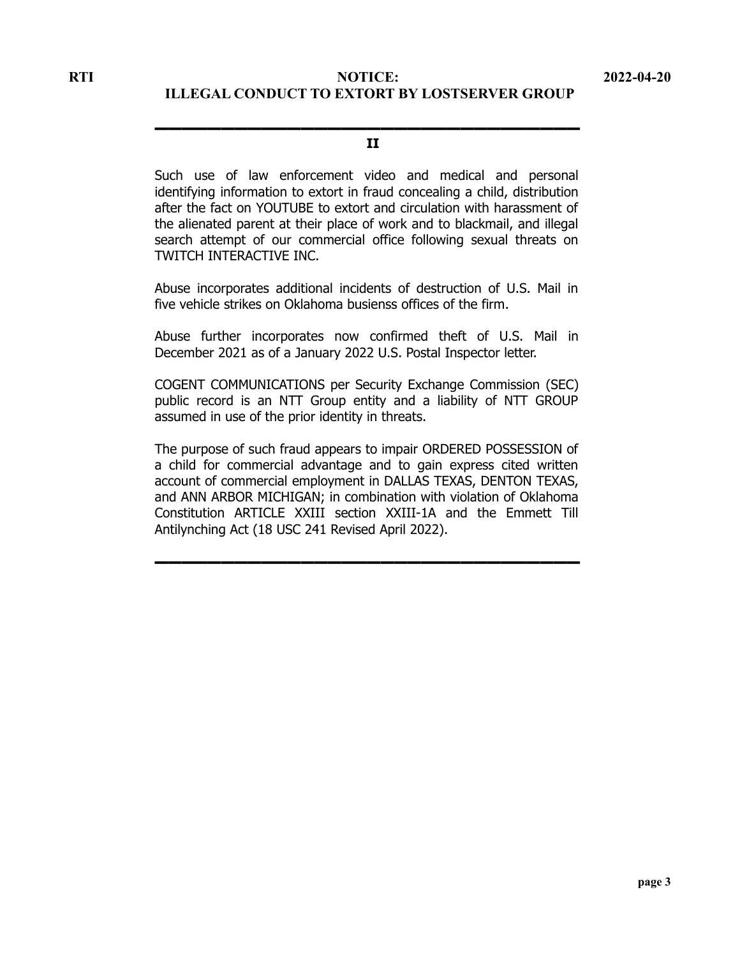### ▬▬▬▬▬▬▬▬▬▬▬▬▬▬▬▬▬▬▬▬▬▬▬▬▬▬▬▬▬▬▬▬ **II**

Such use of law enforcement video and medical and personal identifying information to extort in fraud concealing a child, distribution after the fact on YOUTUBE to extort and circulation with harassment of the alienated parent at their place of work and to blackmail, and illegal search attempt of our commercial office following sexual threats on TWITCH INTERACTIVE INC.

Abuse incorporates additional incidents of destruction of U.S. Mail in five vehicle strikes on Oklahoma busienss offices of the firm.

Abuse further incorporates now confirmed theft of U.S. Mail in December 2021 as of a January 2022 U.S. Postal Inspector letter.

COGENT COMMUNICATIONS per Security Exchange Commission (SEC) public record is an NTT Group entity and a liability of NTT GROUP assumed in use of the prior identity in threats.

The purpose of such fraud appears to impair ORDERED POSSESSION of a child for commercial advantage and to gain express cited written account of commercial employment in DALLAS TEXAS, DENTON TEXAS, and ANN ARBOR MICHIGAN; in combination with violation of Oklahoma Constitution ARTICLE XXIII section XXIII-1A and the Emmett Till Antilynching Act (18 USC 241 Revised April 2022).

▬▬▬▬▬▬▬▬▬▬▬▬▬▬▬▬▬▬▬▬▬▬▬▬▬▬▬▬▬▬▬▬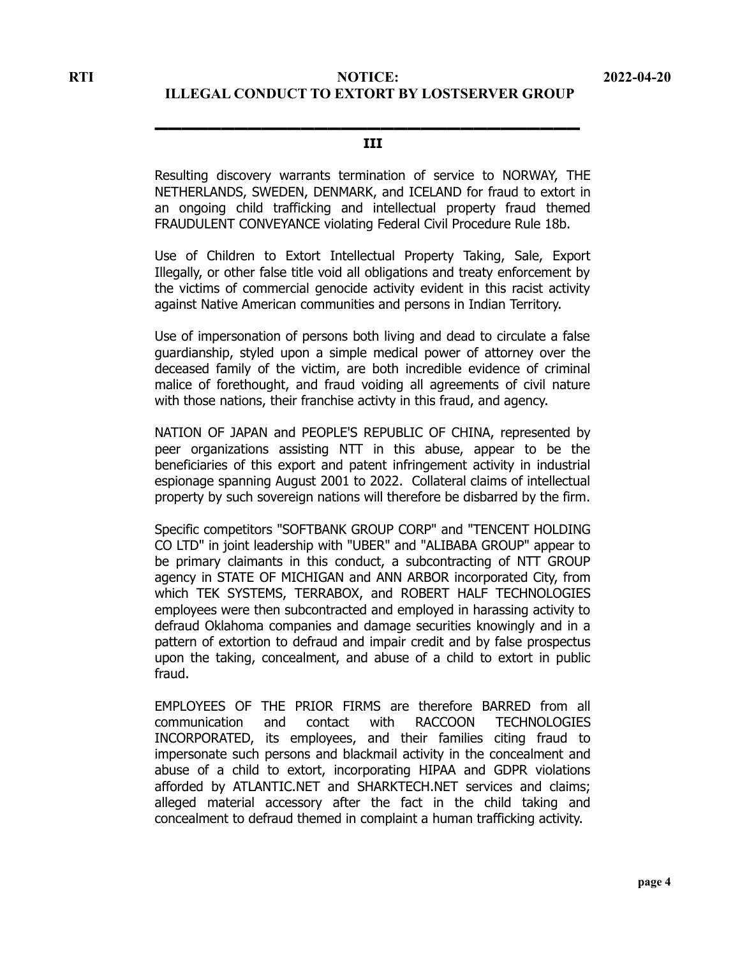## ▬▬▬▬▬▬▬▬▬▬▬▬▬▬▬▬▬▬▬▬▬▬▬▬▬▬▬▬▬▬▬▬ **III**

Resulting discovery warrants termination of service to NORWAY, THE NETHERLANDS, SWEDEN, DENMARK, and ICELAND for fraud to extort in an ongoing child trafficking and intellectual property fraud themed FRAUDULENT CONVEYANCE violating Federal Civil Procedure Rule 18b.

Use of Children to Extort Intellectual Property Taking, Sale, Export Illegally, or other false title void all obligations and treaty enforcement by the victims of commercial genocide activity evident in this racist activity against Native American communities and persons in Indian Territory.

Use of impersonation of persons both living and dead to circulate a false guardianship, styled upon a simple medical power of attorney over the deceased family of the victim, are both incredible evidence of criminal malice of forethought, and fraud voiding all agreements of civil nature with those nations, their franchise activty in this fraud, and agency.

NATION OF JAPAN and PEOPLE'S REPUBLIC OF CHINA, represented by peer organizations assisting NTT in this abuse, appear to be the beneficiaries of this export and patent infringement activity in industrial espionage spanning August 2001 to 2022. Collateral claims of intellectual property by such sovereign nations will therefore be disbarred by the firm.

Specific competitors "SOFTBANK GROUP CORP" and "TENCENT HOLDING CO LTD" in joint leadership with "UBER" and "ALIBABA GROUP" appear to be primary claimants in this conduct, a subcontracting of NTT GROUP agency in STATE OF MICHIGAN and ANN ARBOR incorporated City, from which TEK SYSTEMS, TERRABOX, and ROBERT HALF TECHNOLOGIES employees were then subcontracted and employed in harassing activity to defraud Oklahoma companies and damage securities knowingly and in a pattern of extortion to defraud and impair credit and by false prospectus upon the taking, concealment, and abuse of a child to extort in public fraud.

EMPLOYEES OF THE PRIOR FIRMS are therefore BARRED from all communication and contact with RACCOON TECHNOLOGIES INCORPORATED, its employees, and their families citing fraud to impersonate such persons and blackmail activity in the concealment and abuse of a child to extort, incorporating HIPAA and GDPR violations afforded by ATLANTIC.NET and SHARKTECH.NET services and claims; alleged material accessory after the fact in the child taking and concealment to defraud themed in complaint a human trafficking activity.